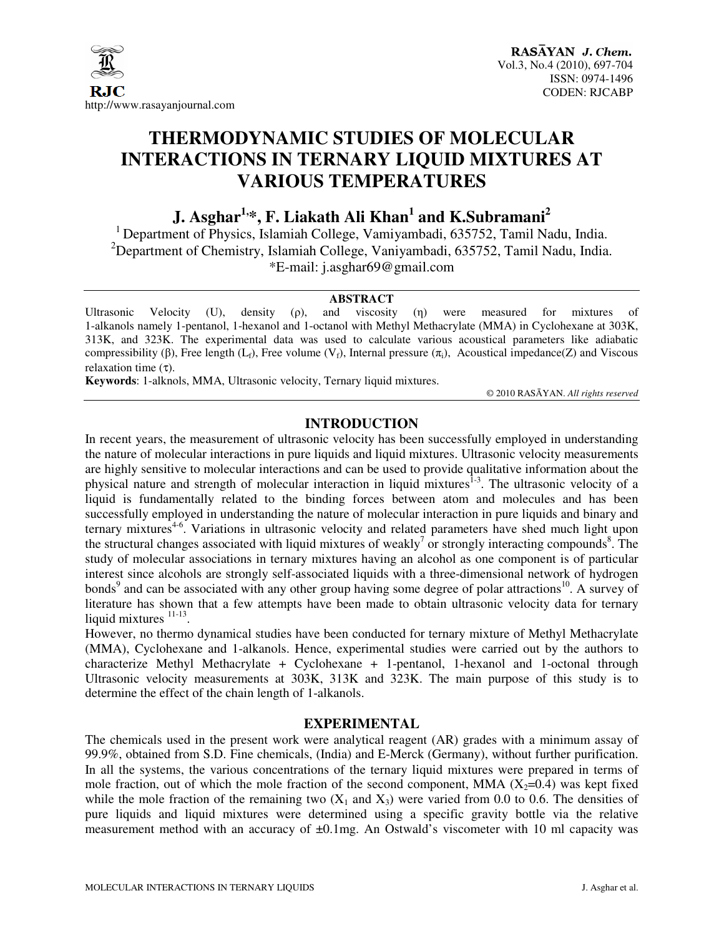

# **THERMODYNAMIC STUDIES OF MOLECULAR INTERACTIONS IN TERNARY LIQUID MIXTURES AT VARIOUS TEMPERATURES**

**J. Asghar1,\*, F. Liakath Ali Khan<sup>1</sup> and K.Subramani<sup>2</sup>**

<sup>1</sup> Department of Physics, Islamiah College, Vamiyambadi, 635752, Tamil Nadu, India. <sup>2</sup>Department of Chemistry, Islamiah College, Vaniyambadi, 635752, Tamil Nadu, India. \*E-mail: j.asghar69@gmail.com

#### **ABSTRACT**

Ultrasonic Velocity (U), density ( $\rho$ ), and viscosity ( $\eta$ ) were measured for mixtures of 1-alkanols namely 1-pentanol, 1-hexanol and 1-octanol with Methyl Methacrylate (MMA) in Cyclohexane at 303K, 313K, and 323K. The experimental data was used to calculate various acoustical parameters like adiabatic compressibility (β), Free length (L<sub>t</sub>), Free volume (V<sub>t</sub>), Internal pressure (π<sub>i</sub>), Acoustical impedance(Z) and Viscous relaxation time (τ).

**Keywords**: 1-alknols, MMA, Ultrasonic velocity, Ternary liquid mixtures.

© 2010 RASĀYAN. *All rights reserved*

# **INTRODUCTION**

In recent years, the measurement of ultrasonic velocity has been successfully employed in understanding the nature of molecular interactions in pure liquids and liquid mixtures. Ultrasonic velocity measurements are highly sensitive to molecular interactions and can be used to provide qualitative information about the physical nature and strength of molecular interaction in liquid mixtures<sup>1-3</sup>. The ultrasonic velocity of a liquid is fundamentally related to the binding forces between atom and molecules and has been successfully employed in understanding the nature of molecular interaction in pure liquids and binary and ternary mixtures<sup>4-6</sup>. Variations in ultrasonic velocity and related parameters have shed much light upon the structural changes associated with liquid mixtures of weakly<sup>7</sup> or strongly interacting compounds<sup>8</sup>. The study of molecular associations in ternary mixtures having an alcohol as one component is of particular interest since alcohols are strongly self-associated liquids with a three-dimensional network of hydrogen bonds<sup>9</sup> and can be associated with any other group having some degree of polar attractions<sup>10</sup>. A survey of literature has shown that a few attempts have been made to obtain ultrasonic velocity data for ternary liquid mixtures  $11-13$ .

However, no thermo dynamical studies have been conducted for ternary mixture of Methyl Methacrylate (MMA), Cyclohexane and 1-alkanols. Hence, experimental studies were carried out by the authors to characterize Methyl Methacrylate + Cyclohexane + 1-pentanol, 1-hexanol and 1-octonal through Ultrasonic velocity measurements at 303K, 313K and 323K. The main purpose of this study is to determine the effect of the chain length of 1-alkanols.

## **EXPERIMENTAL**

The chemicals used in the present work were analytical reagent (AR) grades with a minimum assay of 99.9%, obtained from S.D. Fine chemicals, (India) and E-Merck (Germany), without further purification. In all the systems, the various concentrations of the ternary liquid mixtures were prepared in terms of mole fraction, out of which the mole fraction of the second component, MMA  $(X_2=0.4)$  was kept fixed while the mole fraction of the remaining two  $(X_1 \text{ and } X_3)$  were varied from 0.0 to 0.6. The densities of pure liquids and liquid mixtures were determined using a specific gravity bottle via the relative measurement method with an accuracy of ±0.1mg. An Ostwald's viscometer with 10 ml capacity was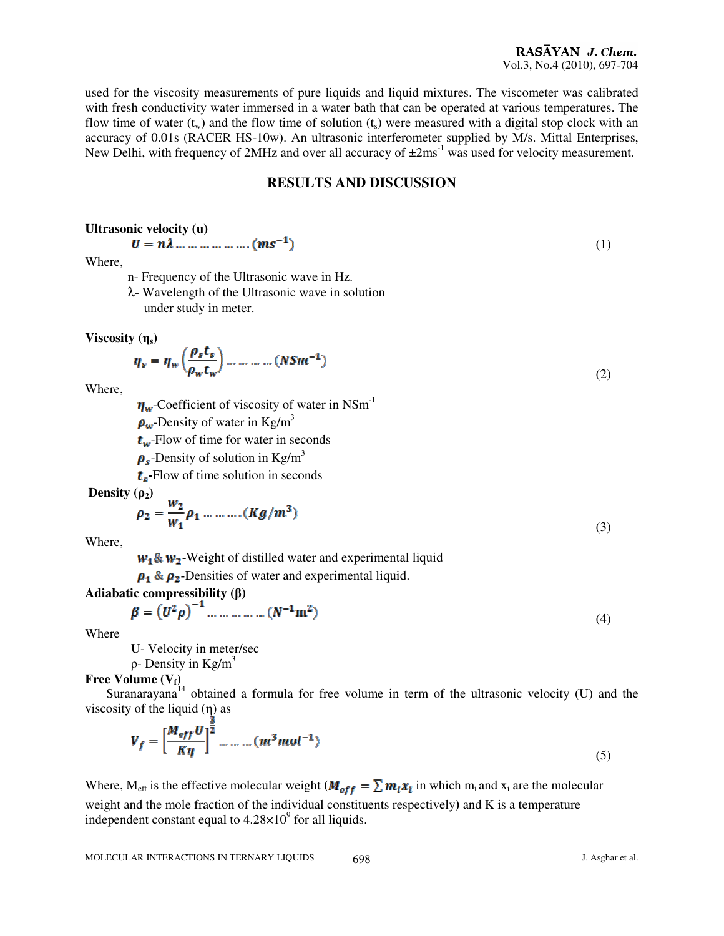used for the viscosity measurements of pure liquids and liquid mixtures. The viscometer was calibrated with fresh conductivity water immersed in a water bath that can be operated at various temperatures. The flow time of water  $(t_w)$  and the flow time of solution  $(t_s)$  were measured with a digital stop clock with an accuracy of 0.01s (RACER HS-10w). An ultrasonic interferometer supplied by M/s. Mittal Enterprises, New Delhi, with frequency of 2MHz and over all accuracy of  $\pm 2\text{ms}^{-1}$  was used for velocity measurement.

# **RESULTS AND DISCUSSION**

(1)

(2)

#### **Ultrasonic velocity (u)**

$$
U=n\lambda\ldots\ldots\ldots\ldots\ldots\ldots(ms^{-1})
$$

Where,

- n- Frequency of the Ultrasonic wave in Hz.
- λ- Wavelength of the Ultrasonic wave in solution under study in meter.

**Viscosity** (η<sub>s</sub>)

$$
\eta_s = \eta_w \left( \frac{\rho_s t_s}{\rho_w t_w} \right) \dots \dots \dots \dots (N S m^{-1})
$$

Where,

 $\eta_w$ -Coefficient of viscosity of water in NSm<sup>-1</sup>

 $\rho_w$ -Density of water in Kg/m<sup>3</sup>

 $t_w$ -Flow of time for water in seconds

 $\rho_s$ -Density of solution in Kg/m<sup>3</sup>

**-**Flow of time solution in seconds

**Density**  $(\rho_2)$ 

$$
\rho_2 = \frac{w_2}{w_1} \rho_1 \dots \dots \dots (Kg/m^3)
$$
\n(3)

Where,

 $w_1$ &  $w_2$ -Weight of distilled water and experimental liquid

 $\rho_1 \& \rho_2$ -Densities of water and experimental liquid.

## **Adiabatic compressibility (**β**)**

$$
\beta = (U^2 \rho)^{-1} \dots \dots \dots \dots (N^{-1} m^2)
$$
\n(4)

Where

U- Velocity in meter/sec

 $ρ$ - Density in Kg/m<sup>3</sup>

**Free Volume (Vf)** 

Suranarayana<sup>14</sup> obtained a formula for free volume in term of the ultrasonic velocity (U) and the viscosity of the liquid  $(\eta)$  as

$$
V_f = \left[\frac{M_{eff}U}{K\eta}\right]^{\frac{1}{2}} \dots \dots \dots (m^3 mol^{-1})
$$
\n<sup>(5)</sup>

Where, M<sub>eff</sub> is the effective molecular weight  $(M_{eff} = \sum m_i x_i)$  in which m<sub>i</sub> and x<sub>i</sub> are the molecular weight and the mole fraction of the individual constituents respectively**)** and K is a temperature independent constant equal to  $4.28 \times 10^9$  for all liquids.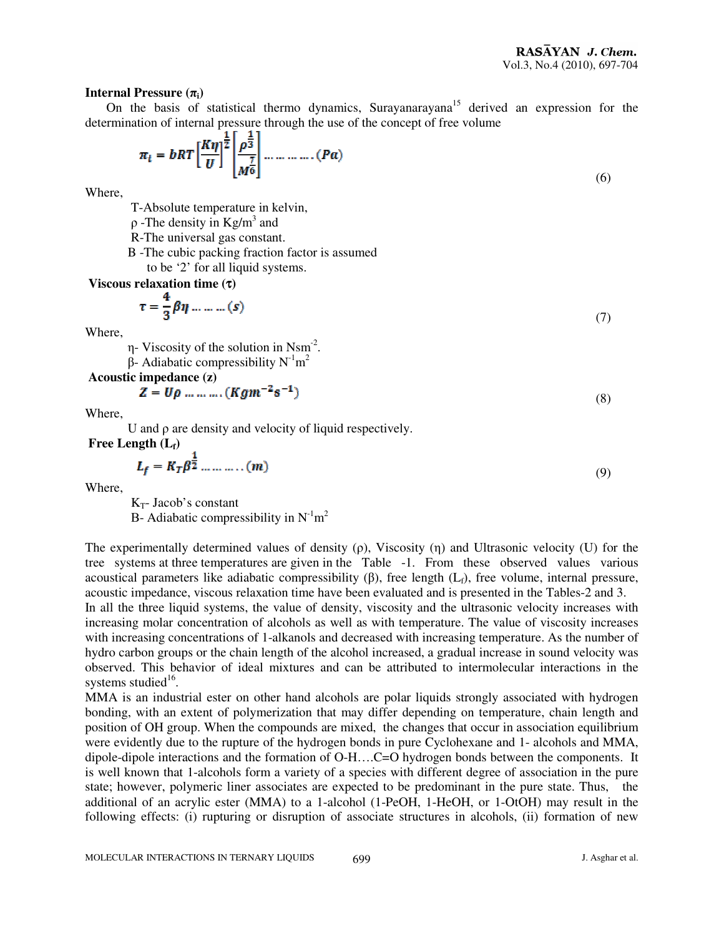#### **Internal Pressure**  $(\pi_i)$

On the basis of statistical thermo dynamics, Surayanarayana<sup>15</sup> derived an expression for the determination of internal pressure through the use of the concept of free volume

$$
\pi_{i} = bRT \left[\frac{K\eta}{U}\right]^{\frac{1}{2}} \left[\frac{\rho^{\frac{1}{3}}}{M^{\frac{7}{6}}}\right] \dots \dots \dots \dots (Pa) \tag{6}
$$

Where,

T-Absolute temperature in kelvin,

 $\rho$ -The density in Kg/m<sup>3</sup> and

R-The universal gas constant.

B -The cubic packing fraction factor is assumed

to be '2' for all liquid systems.

 **Viscous relaxation time (**τ**)** 

$$
\tau = \frac{4}{3}\beta\eta \dots \dots \dots (s) \tag{7}
$$

Where,

 $\eta$ - Viscosity of the solution in Nsm<sup>-2</sup>.

β- Adiabatic compressibility  $N<sup>-1</sup>m<sup>2</sup>$ 

 **Acoustic impedance (z)** 

$$
Z = U\rho \dots \dots \dots (Kgm^{-2}s^{-1})
$$
\n(8)

Where,

U and ρ are density and velocity of liquid respectively.

 **Free Length (Lf)** 

$$
L_f = K_T \beta^{\frac{1}{2}} \dots \dots \dots \dots (m) \tag{9}
$$

Where,

 $K_T$ - Jacob's constant B- Adiabatic compressibility in  $N^{-1}m^2$ 

The experimentally determined values of density (ρ), Viscosity (η) and Ultrasonic velocity (U) for the tree systems at three temperatures are given in the Table -1. From these observed values various acoustical parameters like adiabatic compressibility (β), free length (L<sub>f</sub>), free volume, internal pressure, acoustic impedance, viscous relaxation time have been evaluated and is presented in the Tables-2 and 3.

In all the three liquid systems, the value of density, viscosity and the ultrasonic velocity increases with increasing molar concentration of alcohols as well as with temperature. The value of viscosity increases with increasing concentrations of 1-alkanols and decreased with increasing temperature. As the number of hydro carbon groups or the chain length of the alcohol increased, a gradual increase in sound velocity was observed. This behavior of ideal mixtures and can be attributed to intermolecular interactions in the systems studied<sup>16</sup>.

MMA is an industrial ester on other hand alcohols are polar liquids strongly associated with hydrogen bonding, with an extent of polymerization that may differ depending on temperature, chain length and position of OH group. When the compounds are mixed, the changes that occur in association equilibrium were evidently due to the rupture of the hydrogen bonds in pure Cyclohexane and 1- alcohols and MMA, dipole-dipole interactions and the formation of O-H….C=O hydrogen bonds between the components. It is well known that 1-alcohols form a variety of a species with different degree of association in the pure state; however, polymeric liner associates are expected to be predominant in the pure state. Thus, the additional of an acrylic ester (MMA) to a 1-alcohol (1-PeOH, 1-HeOH, or 1-OtOH) may result in the following effects: (i) rupturing or disruption of associate structures in alcohols, (ii) formation of new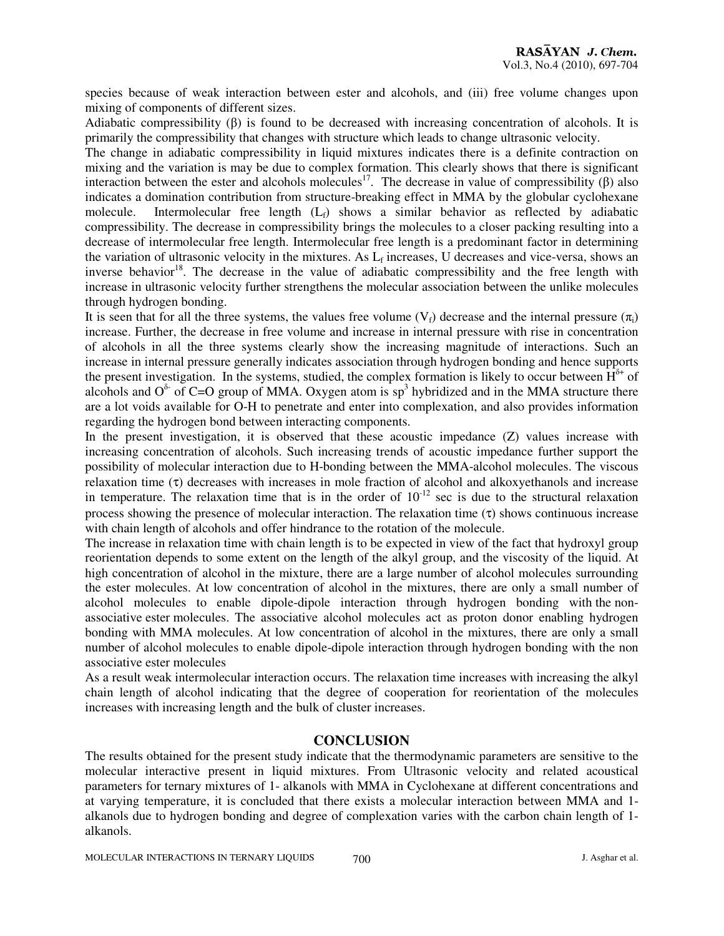species because of weak interaction between ester and alcohols, and (iii) free volume changes upon mixing of components of different sizes.

Adiabatic compressibility  $(\beta)$  is found to be decreased with increasing concentration of alcohols. It is primarily the compressibility that changes with structure which leads to change ultrasonic velocity.

The change in adiabatic compressibility in liquid mixtures indicates there is a definite contraction on mixing and the variation is may be due to complex formation. This clearly shows that there is significant interaction between the ester and alcohols molecules<sup>17</sup>. The decrease in value of compressibility (β) also indicates a domination contribution from structure-breaking effect in MMA by the globular cyclohexane molecule. Intermolecular free length  $(L_f)$  shows a similar behavior as reflected by adiabatic compressibility. The decrease in compressibility brings the molecules to a closer packing resulting into a decrease of intermolecular free length. Intermolecular free length is a predominant factor in determining the variation of ultrasonic velocity in the mixtures. As  $L_f$  increases, U decreases and vice-versa, shows an inverse behavior<sup>18</sup>. The decrease in the value of adiabatic compressibility and the free length with increase in ultrasonic velocity further strengthens the molecular association between the unlike molecules through hydrogen bonding.

It is seen that for all the three systems, the values free volume  $(V_f)$  decrease and the internal pressure  $(\pi_i)$ increase. Further, the decrease in free volume and increase in internal pressure with rise in concentration of alcohols in all the three systems clearly show the increasing magnitude of interactions. Such an increase in internal pressure generally indicates association through hydrogen bonding and hence supports the present investigation. In the systems, studied, the complex formation is likely to occur between  $\hat{H}^{\delta+}$  of alcohols and  $O^{\delta}$  of C=O group of MMA. Oxygen atom is sp<sup>3</sup> hybridized and in the MMA structure there are a lot voids available for O-H to penetrate and enter into complexation, and also provides information regarding the hydrogen bond between interacting components.

In the present investigation, it is observed that these acoustic impedance (Z) values increase with increasing concentration of alcohols. Such increasing trends of acoustic impedance further support the possibility of molecular interaction due to H-bonding between the MMA-alcohol molecules. The viscous relaxation time (τ) decreases with increases in mole fraction of alcohol and alkoxyethanols and increase in temperature. The relaxation time that is in the order of  $10^{-12}$  sec is due to the structural relaxation process showing the presence of molecular interaction. The relaxation time  $(\tau)$  shows continuous increase with chain length of alcohols and offer hindrance to the rotation of the molecule.

The increase in relaxation time with chain length is to be expected in view of the fact that hydroxyl group reorientation depends to some extent on the length of the alkyl group, and the viscosity of the liquid. At high concentration of alcohol in the mixture, there are a large number of alcohol molecules surrounding the ester molecules. At low concentration of alcohol in the mixtures, there are only a small number of alcohol molecules to enable dipole-dipole interaction through hydrogen bonding with the nonassociative ester molecules. The associative alcohol molecules act as proton donor enabling hydrogen bonding with MMA molecules. At low concentration of alcohol in the mixtures, there are only a small number of alcohol molecules to enable dipole-dipole interaction through hydrogen bonding with the non associative ester molecules

As a result weak intermolecular interaction occurs. The relaxation time increases with increasing the alkyl chain length of alcohol indicating that the degree of cooperation for reorientation of the molecules increases with increasing length and the bulk of cluster increases.

## **CONCLUSION**

The results obtained for the present study indicate that the thermodynamic parameters are sensitive to the molecular interactive present in liquid mixtures. From Ultrasonic velocity and related acoustical parameters for ternary mixtures of 1- alkanols with MMA in Cyclohexane at different concentrations and at varying temperature, it is concluded that there exists a molecular interaction between MMA and 1 alkanols due to hydrogen bonding and degree of complexation varies with the carbon chain length of 1 alkanols.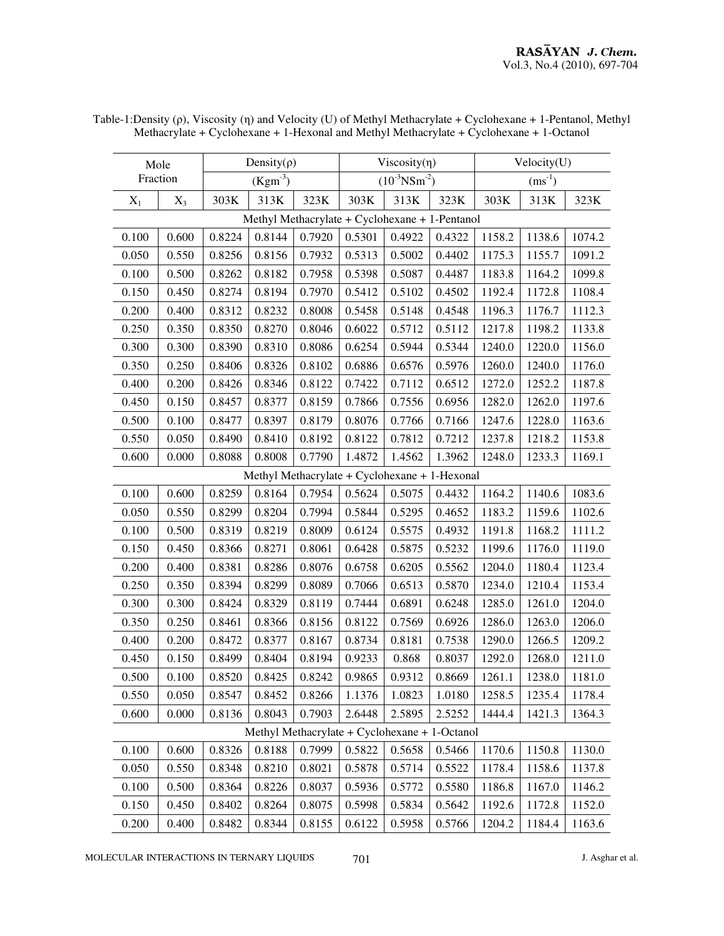| Mole                                          |       | Density $(\rho)$ |                 |        |                                | $Viscosity(\eta)$ |                                                | Velocity(U) |        |        |
|-----------------------------------------------|-------|------------------|-----------------|--------|--------------------------------|-------------------|------------------------------------------------|-------------|--------|--------|
| Fraction                                      |       | $(Kgm-3)$        |                 |        | $(10^{-3}$ NSm <sup>-2</sup> ) |                   |                                                | $(ms^{-1})$ |        |        |
| $X_1$                                         | $X_3$ | 303K             | 313K            | 323K   | 303K                           | 313K              | 323K                                           | 303K        | 313K   | 323K   |
|                                               |       |                  |                 |        |                                |                   | Methyl Methacrylate + Cyclohexane + 1-Pentanol |             |        |        |
| 0.100                                         | 0.600 | 0.8224           | 0.8144          | 0.7920 | 0.5301                         | 0.4922            | 0.4322                                         | 1158.2      | 1138.6 | 1074.2 |
| 0.050                                         | 0.550 | 0.8256           | 0.8156          | 0.7932 | 0.5313                         | 0.5002            | 0.4402                                         | 1175.3      | 1155.7 | 1091.2 |
| 0.100                                         | 0.500 | 0.8262           | 0.8182          | 0.7958 | 0.5398                         | 0.5087            | 0.4487                                         | 1183.8      | 1164.2 | 1099.8 |
| 0.150                                         | 0.450 | 0.8274           | 0.8194          | 0.7970 | 0.5412                         | 0.5102            | 0.4502                                         | 1192.4      | 1172.8 | 1108.4 |
| 0.200                                         | 0.400 | 0.8312           | 0.8232          | 0.8008 | 0.5458                         | 0.5148            | 0.4548                                         | 1196.3      | 1176.7 | 1112.3 |
| 0.250                                         | 0.350 | 0.8350           | 0.8270          | 0.8046 | 0.6022                         | 0.5712            | 0.5112                                         | 1217.8      | 1198.2 | 1133.8 |
| 0.300                                         | 0.300 | 0.8390           | 0.8310          | 0.8086 | 0.6254                         | 0.5944            | 0.5344                                         | 1240.0      | 1220.0 | 1156.0 |
| 0.350                                         | 0.250 | 0.8406           | 0.8326          | 0.8102 | 0.6886                         | 0.6576            | 0.5976                                         | 1260.0      | 1240.0 | 1176.0 |
| 0.400                                         | 0.200 | 0.8426           | 0.8346          | 0.8122 | 0.7422                         | 0.7112            | 0.6512                                         | 1272.0      | 1252.2 | 1187.8 |
| 0.450                                         | 0.150 | 0.8457           | 0.8377          | 0.8159 | 0.7866                         | 0.7556            | 0.6956                                         | 1282.0      | 1262.0 | 1197.6 |
| 0.500                                         | 0.100 | 0.8477           | 0.8397          | 0.8179 | 0.8076                         | 0.7766            | 0.7166                                         | 1247.6      | 1228.0 | 1163.6 |
| 0.550                                         | 0.050 | 0.8490           | 0.8410          | 0.8192 | 0.8122                         | 0.7812            | 0.7212                                         | 1237.8      | 1218.2 | 1153.8 |
| 0.600                                         | 0.000 | 0.8088           | 0.8008          | 0.7790 | 1.4872                         | 1.4562            | 1.3962                                         | 1248.0      | 1233.3 | 1169.1 |
| Methyl Methacrylate + Cyclohexane + 1-Hexonal |       |                  |                 |        |                                |                   |                                                |             |        |        |
| 0.100                                         | 0.600 | 0.8259           | 0.8164          | 0.7954 | 0.5624                         | 0.5075            | 0.4432                                         | 1164.2      | 1140.6 | 1083.6 |
| 0.050                                         | 0.550 | 0.8299           | 0.8204          | 0.7994 | 0.5844                         | 0.5295            | 0.4652                                         | 1183.2      | 1159.6 | 1102.6 |
| 0.100                                         | 0.500 | 0.8319           | 0.8219          | 0.8009 | 0.6124                         | 0.5575            | 0.4932                                         | 1191.8      | 1168.2 | 1111.2 |
| 0.150                                         | 0.450 | 0.8366           | 0.8271          | 0.8061 | 0.6428                         | 0.5875            | 0.5232                                         | 1199.6      | 1176.0 | 1119.0 |
| 0.200                                         | 0.400 | 0.8381           | 0.8286          | 0.8076 | 0.6758                         | 0.6205            | 0.5562                                         | 1204.0      | 1180.4 | 1123.4 |
| 0.250                                         | 0.350 | 0.8394           | 0.8299          | 0.8089 | 0.7066                         | 0.6513            | 0.5870                                         | 1234.0      | 1210.4 | 1153.4 |
| 0.300                                         | 0.300 | 0.8424           | 0.8329          | 0.8119 | 0.7444                         | 0.6891            | 0.6248                                         | 1285.0      | 1261.0 | 1204.0 |
| 0.350                                         | 0.250 | 0.8461           | 0.8366          | 0.8156 | 0.8122                         | 0.7569            | 0.6926                                         | 1286.0      | 1263.0 | 1206.0 |
| 0.400                                         | 0.200 | 0.8472           | 0.8377          | 0.8167 | 0.8734                         | 0.8181            | 0.7538                                         | 1290.0      | 1266.5 | 1209.2 |
| 0.450                                         | 0.150 | 0.8499           | 0.8404          | 0.8194 | 0.9233                         | 0.868             | 0.8037                                         | 1292.0      | 1268.0 | 1211.0 |
| 0.500                                         | 0.100 | 0.8520           | $0.8425$ 0.8242 |        | 0.9865 0.9312                  |                   | 0.8669                                         | 1261.1      | 1238.0 | 1181.0 |
| 0.550                                         | 0.050 | 0.8547           | 0.8452          | 0.8266 | 1.1376                         | 1.0823            | 1.0180                                         | 1258.5      | 1235.4 | 1178.4 |
| 0.600                                         | 0.000 | 0.8136           | 0.8043          | 0.7903 | 2.6448                         | 2.5895            | 2.5252                                         | 1444.4      | 1421.3 | 1364.3 |
|                                               |       |                  |                 |        |                                |                   | Methyl Methacrylate + Cyclohexane + 1-Octanol  |             |        |        |
| 0.100                                         | 0.600 | 0.8326           | 0.8188          | 0.7999 | 0.5822                         | 0.5658            | 0.5466                                         | 1170.6      | 1150.8 | 1130.0 |
| 0.050                                         | 0.550 | 0.8348           | 0.8210          | 0.8021 | 0.5878                         | 0.5714            | 0.5522                                         | 1178.4      | 1158.6 | 1137.8 |
| 0.100                                         | 0.500 | 0.8364           | 0.8226          | 0.8037 | 0.5936                         | 0.5772            | 0.5580                                         | 1186.8      | 1167.0 | 1146.2 |
| 0.150                                         | 0.450 | 0.8402           | 0.8264          | 0.8075 | 0.5998                         | 0.5834            | 0.5642                                         | 1192.6      | 1172.8 | 1152.0 |

Table-1:Density (ρ), Viscosity (η) and Velocity (U) of Methyl Methacrylate + Cyclohexane + 1-Pentanol, Methyl Methacrylate + Cyclohexane + 1-Hexonal and Methyl Methacrylate + Cyclohexane + 1-Octanol

MOLECULAR INTERACTIONS IN TERNARY LIQUIDS  $701$  J. Asghar et al.

0.200 0.400 0.8482 0.8344 0.8155 0.6122 0.5958 0.5766 1204.2 1184.4 1163.6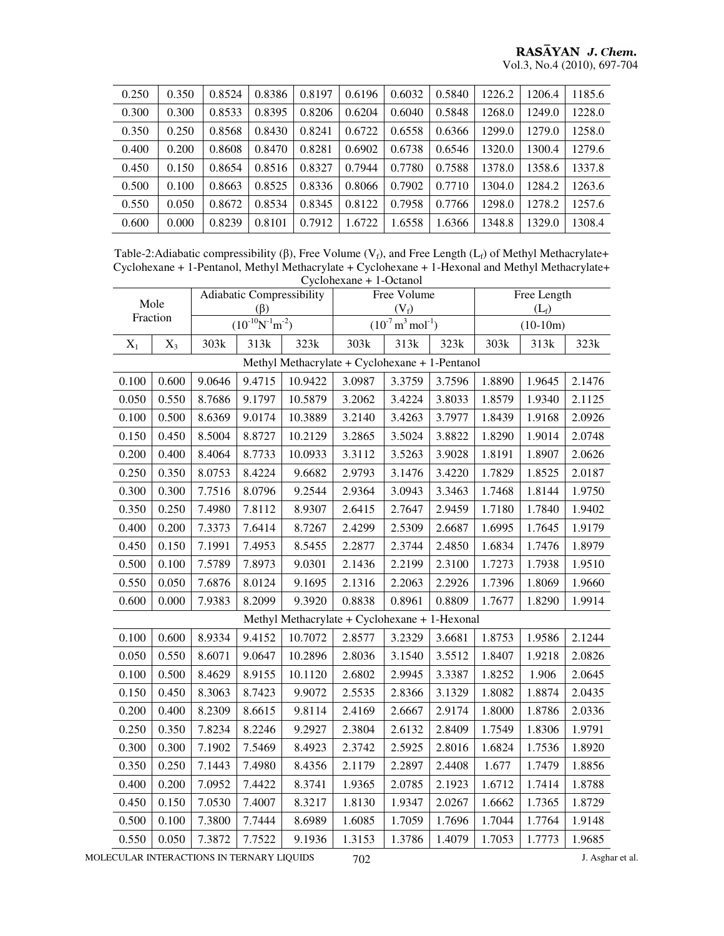| 0.250 | 0.350 | 0.8524 | 0.8386 | 0.8197 | 0.6196 | 0.6032 | 0.5840 | 1226.2 | 1206.4 | 1185.6 |
|-------|-------|--------|--------|--------|--------|--------|--------|--------|--------|--------|
| 0.300 | 0.300 | 0.8533 | 0.8395 | 0.8206 | 0.6204 | 0.6040 | 0.5848 | 1268.0 | 1249.0 | 1228.0 |
| 0.350 | 0.250 | 0.8568 | 0.8430 | 0.8241 | 0.6722 | 0.6558 | 0.6366 | 1299.0 | 1279.0 | 1258.0 |
| 0.400 | 0.200 | 0.8608 | 0.8470 | 0.8281 | 0.6902 | 0.6738 | 0.6546 | 1320.0 | 1300.4 | 1279.6 |
| 0.450 | 0.150 | 0.8654 | 0.8516 | 0.8327 | 0.7944 | 0.7780 | 0.7588 | 1378.0 | 1358.6 | 1337.8 |
| 0.500 | 0.100 | 0.8663 | 0.8525 | 0.8336 | 0.8066 | 0.7902 | 0.7710 | 1304.0 | 1284.2 | 1263.6 |
| 0.550 | 0.050 | 0.8672 | 0.8534 | 0.8345 | 0.8122 | 0.7958 | 0.7766 | 1298.0 | 1278.2 | 1257.6 |
| 0.600 | 0.000 | 0.8239 | 0.8101 | 0.7912 | 1.6722 | 1.6558 | 1.6366 | 1348.8 | 1329.0 | 1308.4 |

Table-2:Adiabatic compressibility (β), Free Volume ( $V_f$ ), and Free Length ( $L_f$ ) of Methyl Methacrylate+ Cyclohexane + 1-Pentanol, Methyl Methacrylate + Cyclohexane + 1-Hexonal and Methyl Methacrylate+ Cyclohexane + 1-Octanol

| $Cyciolicxaile + 1-Ccialioi$                   |       |        |                                        |                                               |        |                                          |        |                        |        |        |  |
|------------------------------------------------|-------|--------|----------------------------------------|-----------------------------------------------|--------|------------------------------------------|--------|------------------------|--------|--------|--|
| Mole<br>Fraction                               |       |        | Adiabatic Compressibility<br>$(\beta)$ |                                               |        | Free Volume<br>$(V_f)$                   |        | Free Length<br>$(L_f)$ |        |        |  |
|                                                |       |        | $\sqrt{(10^{-10}N^{-1}m^{-2})}$        |                                               |        | $(10^{-7} \text{ m}^3 \text{ mol}^{-1})$ |        | $(10-10m)$             |        |        |  |
| $X_1$                                          | $X_3$ | 303k   | 313k                                   | 323k                                          | 303k   | 313k                                     | 323k   | 303k                   | 313k   | 323k   |  |
| Methyl Methacrylate + Cyclohexane + 1-Pentanol |       |        |                                        |                                               |        |                                          |        |                        |        |        |  |
| 0.100                                          | 0.600 | 9.0646 | 9.4715                                 | 10.9422                                       | 3.0987 | 3.3759                                   | 3.7596 | 1.8890                 | 1.9645 | 2.1476 |  |
| 0.050                                          | 0.550 | 8.7686 | 9.1797                                 | 10.5879                                       | 3.2062 | 3.4224                                   | 3.8033 | 1.8579                 | 1.9340 | 2.1125 |  |
| 0.100                                          | 0.500 | 8.6369 | 9.0174                                 | 10.3889                                       | 3.2140 | 3.4263                                   | 3.7977 | 1.8439                 | 1.9168 | 2.0926 |  |
| 0.150                                          | 0.450 | 8.5004 | 8.8727                                 | 10.2129                                       | 3.2865 | 3.5024                                   | 3.8822 | 1.8290                 | 1.9014 | 2.0748 |  |
| 0.200                                          | 0.400 | 8.4064 | 8.7733                                 | 10.0933                                       | 3.3112 | 3.5263                                   | 3.9028 | 1.8191                 | 1.8907 | 2.0626 |  |
| 0.250                                          | 0.350 | 8.0753 | 8.4224                                 | 9.6682                                        | 2.9793 | 3.1476                                   | 3.4220 | 1.7829                 | 1.8525 | 2.0187 |  |
| 0.300                                          | 0.300 | 7.7516 | 8.0796                                 | 9.2544                                        | 2.9364 | 3.0943                                   | 3.3463 | 1.7468                 | 1.8144 | 1.9750 |  |
| 0.350                                          | 0.250 | 7.4980 | 7.8112                                 | 8.9307                                        | 2.6415 | 2.7647                                   | 2.9459 | 1.7180                 | 1.7840 | 1.9402 |  |
| 0.400                                          | 0.200 | 7.3373 | 7.6414                                 | 8.7267                                        | 2.4299 | 2.5309                                   | 2.6687 | 1.6995                 | 1.7645 | 1.9179 |  |
| 0.450                                          | 0.150 | 7.1991 | 7.4953                                 | 8.5455                                        | 2.2877 | 2.3744                                   | 2.4850 | 1.6834                 | 1.7476 | 1.8979 |  |
| 0.500                                          | 0.100 | 7.5789 | 7.8973                                 | 9.0301                                        | 2.1436 | 2.2199                                   | 2.3100 | 1.7273                 | 1.7938 | 1.9510 |  |
| 0.550                                          | 0.050 | 7.6876 | 8.0124                                 | 9.1695                                        | 2.1316 | 2.2063                                   | 2.2926 | 1.7396                 | 1.8069 | 1.9660 |  |
| 0.600                                          | 0.000 | 7.9383 | 8.2099                                 | 9.3920                                        | 0.8838 | 0.8961                                   | 0.8809 | 1.7677                 | 1.8290 | 1.9914 |  |
|                                                |       |        |                                        | Methyl Methacrylate + Cyclohexane + 1-Hexonal |        |                                          |        |                        |        |        |  |
| 0.100                                          | 0.600 | 8.9334 | 9.4152                                 | 10.7072                                       | 2.8577 | 3.2329                                   | 3.6681 | 1.8753                 | 1.9586 | 2.1244 |  |
| 0.050                                          | 0.550 | 8.6071 | 9.0647                                 | 10.2896                                       | 2.8036 | 3.1540                                   | 3.5512 | 1.8407                 | 1.9218 | 2.0826 |  |
| 0.100                                          | 0.500 | 8.4629 | 8.9155                                 | 10.1120                                       | 2.6802 | 2.9945                                   | 3.3387 | 1.8252                 | 1.906  | 2.0645 |  |
| 0.150                                          | 0.450 | 8.3063 | 8.7423                                 | 9.9072                                        | 2.5535 | 2.8366                                   | 3.1329 | 1.8082                 | 1.8874 | 2.0435 |  |
| 0.200                                          | 0.400 | 8.2309 | 8.6615                                 | 9.8114                                        | 2.4169 | 2.6667                                   | 2.9174 | 1.8000                 | 1.8786 | 2.0336 |  |
| 0.250                                          | 0.350 | 7.8234 | 8.2246                                 | 9.2927                                        | 2.3804 | 2.6132                                   | 2.8409 | 1.7549                 | 1.8306 | 1.9791 |  |
| 0.300                                          | 0.300 | 7.1902 | 7.5469                                 | 8.4923                                        | 2.3742 | 2.5925                                   | 2.8016 | 1.6824                 | 1.7536 | 1.8920 |  |
| 0.350                                          | 0.250 | 7.1443 | 7.4980                                 | 8.4356                                        | 2.1179 | 2.2897                                   | 2.4408 | 1.677                  | 1.7479 | 1.8856 |  |
| 0.400                                          | 0.200 | 7.0952 | 7.4422                                 | 8.3741                                        | 1.9365 | 2.0785                                   | 2.1923 | 1.6712                 | 1.7414 | 1.8788 |  |
| 0.450                                          | 0.150 | 7.0530 | 7.4007                                 | 8.3217                                        | 1.8130 | 1.9347                                   | 2.0267 | 1.6662                 | 1.7365 | 1.8729 |  |
| 0.500                                          | 0.100 | 7.3800 | 7.7444                                 | 8.6989                                        | 1.6085 | 1.7059                                   | 1.7696 | 1.7044                 | 1.7764 | 1.9148 |  |
| 0.550                                          | 0.050 | 7.3872 | 7.7522                                 | 9.1936                                        | 1.3153 | 1.3786                                   | 1.4079 | 1.7053                 | 1.7773 | 1.9685 |  |

MOLECULAR INTERACTIONS IN TERNARY LIQUIDS  $702$  J. Asghar et al.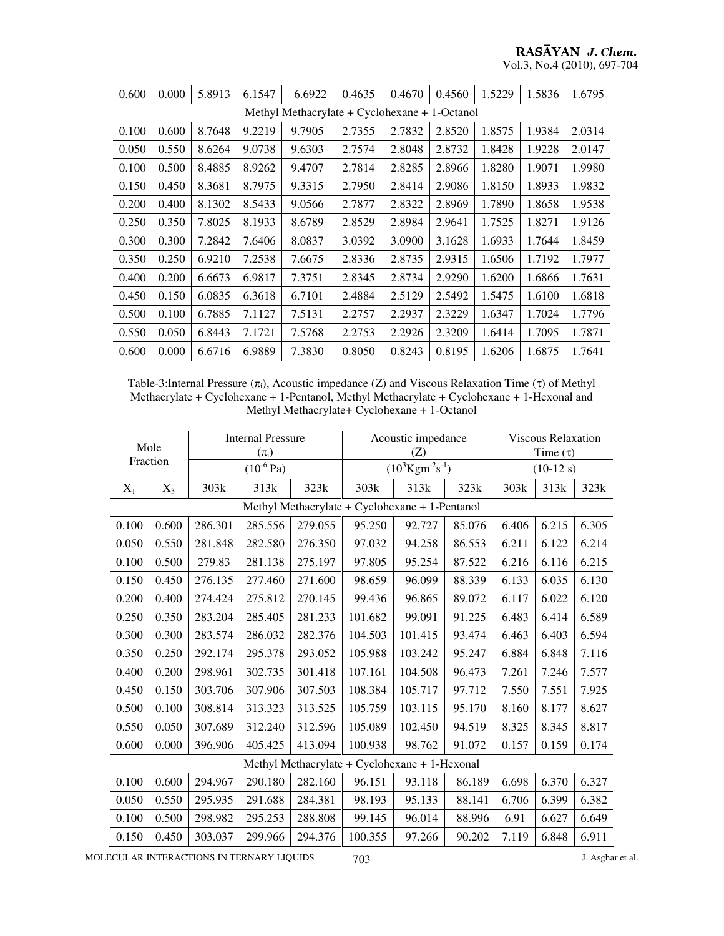## RASĀYAN J. Chem. Vol.3, No.4 (2010), 697-704

| 0.600                                            | 0.000 | 5.8913 | 6.1547 | 6.6922 | 0.4635 | 0.4670 | 0.4560 | 1.5229 | 1.5836 | 1.6795 |  |
|--------------------------------------------------|-------|--------|--------|--------|--------|--------|--------|--------|--------|--------|--|
| Methyl Methacrylate + $Cyclohexane + 1$ -Octanol |       |        |        |        |        |        |        |        |        |        |  |
| 0.100                                            | 0.600 | 8.7648 | 9.2219 | 9.7905 | 2.7355 | 2.7832 | 2.8520 | 1.8575 | 1.9384 | 2.0314 |  |
| 0.050                                            | 0.550 | 8.6264 | 9.0738 | 9.6303 | 2.7574 | 2.8048 | 2.8732 | 1.8428 | 1.9228 | 2.0147 |  |
| 0.100                                            | 0.500 | 8.4885 | 8.9262 | 9.4707 | 2.7814 | 2.8285 | 2.8966 | 1.8280 | 1.9071 | 1.9980 |  |
| 0.150                                            | 0.450 | 8.3681 | 8.7975 | 9.3315 | 2.7950 | 2.8414 | 2.9086 | 1.8150 | 1.8933 | 1.9832 |  |
| 0.200                                            | 0.400 | 8.1302 | 8.5433 | 9.0566 | 2.7877 | 2.8322 | 2.8969 | 1.7890 | 1.8658 | 1.9538 |  |
| 0.250                                            | 0.350 | 7.8025 | 8.1933 | 8.6789 | 2.8529 | 2.8984 | 2.9641 | 1.7525 | 1.8271 | 1.9126 |  |
| 0.300                                            | 0.300 | 7.2842 | 7.6406 | 8.0837 | 3.0392 | 3.0900 | 3.1628 | 1.6933 | 1.7644 | 1.8459 |  |
| 0.350                                            | 0.250 | 6.9210 | 7.2538 | 7.6675 | 2.8336 | 2.8735 | 2.9315 | 1.6506 | 1.7192 | 1.7977 |  |
| 0.400                                            | 0.200 | 6.6673 | 6.9817 | 7.3751 | 2.8345 | 2.8734 | 2.9290 | 1.6200 | 1.6866 | 1.7631 |  |
| 0.450                                            | 0.150 | 6.0835 | 6.3618 | 6.7101 | 2.4884 | 2.5129 | 2.5492 | 1.5475 | 1.6100 | 1.6818 |  |
| 0.500                                            | 0.100 | 6.7885 | 7.1127 | 7.5131 | 2.2757 | 2.2937 | 2.3229 | 1.6347 | 1.7024 | 1.7796 |  |
| 0.550                                            | 0.050 | 6.8443 | 7.1721 | 7.5768 | 2.2753 | 2.2926 | 2.3209 | 1.6414 | 1.7095 | 1.7871 |  |
| 0.600                                            | 0.000 | 6.6716 | 6.9889 | 7.3830 | 0.8050 | 0.8243 | 0.8195 | 1.6206 | 1.6875 | 1.7641 |  |

Table-3:Internal Pressure  $(\pi_i)$ , Acoustic impedance (Z) and Viscous Relaxation Time (τ) of Methyl Methacrylate + Cyclohexane + 1-Pentanol, Methyl Methacrylate + Cyclohexane + 1-Hexonal and Methyl Methacrylate+ Cyclohexane + 1-Octanol

| Mole<br>Fraction                              |       |         | <b>Internal Pressure</b><br>$(\pi_i)$ |         |         | Acoustic impedance<br>(Z)                      | <b>Viscous Relaxation</b><br>Time $(\tau)$ |       |       |       |  |
|-----------------------------------------------|-------|---------|---------------------------------------|---------|---------|------------------------------------------------|--------------------------------------------|-------|-------|-------|--|
|                                               |       |         | $(10^{-6}$ Pa)                        |         |         | $(10^3 \text{Kgm}^2 \text{s}^{-1})$            | $(10-12 s)$                                |       |       |       |  |
| $X_1$                                         | $X_3$ | 303k    | 313k                                  | 323k    | 303k    | 313k                                           | 323k                                       | 303k  | 313k  | 323k  |  |
|                                               |       |         |                                       |         |         | Methyl Methacrylate + Cyclohexane + 1-Pentanol |                                            |       |       |       |  |
| 0.100                                         | 0.600 | 286.301 | 285.556                               | 279.055 | 95.250  | 92.727                                         | 85.076                                     | 6.406 | 6.215 | 6.305 |  |
| 0.050                                         | 0.550 | 281.848 | 282.580                               | 276.350 | 97.032  | 94.258                                         | 86.553                                     | 6.211 | 6.122 | 6.214 |  |
| 0.100                                         | 0.500 | 279.83  | 281.138                               | 275.197 | 97.805  | 95.254                                         | 87.522                                     | 6.216 | 6.116 | 6.215 |  |
| 0.150                                         | 0.450 | 276.135 | 277.460                               | 271.600 | 98.659  | 96.099                                         | 88.339                                     | 6.133 | 6.035 | 6.130 |  |
| 0.200                                         | 0.400 | 274.424 | 275.812                               | 270.145 | 99.436  | 96.865                                         | 89.072                                     | 6.117 | 6.022 | 6.120 |  |
| 0.250                                         | 0.350 | 283.204 | 285.405                               | 281.233 | 101.682 | 99.091                                         | 91.225                                     | 6.483 | 6.414 | 6.589 |  |
| 0.300                                         | 0.300 | 283.574 | 286.032                               | 282.376 | 104.503 | 101.415                                        | 93.474                                     | 6.463 | 6.403 | 6.594 |  |
| 0.350                                         | 0.250 | 292.174 | 295.378                               | 293.052 | 105.988 | 103.242                                        | 95.247                                     | 6.884 | 6.848 | 7.116 |  |
| 0.400                                         | 0.200 | 298.961 | 302.735                               | 301.418 | 107.161 | 104.508                                        | 96.473                                     | 7.261 | 7.246 | 7.577 |  |
| 0.450                                         | 0.150 | 303.706 | 307.906                               | 307.503 | 108.384 | 105.717                                        | 97.712                                     | 7.550 | 7.551 | 7.925 |  |
| 0.500                                         | 0.100 | 308.814 | 313.323                               | 313.525 | 105.759 | 103.115                                        | 95.170                                     | 8.160 | 8.177 | 8.627 |  |
| 0.550                                         | 0.050 | 307.689 | 312.240                               | 312.596 | 105.089 | 102.450                                        | 94.519                                     | 8.325 | 8.345 | 8.817 |  |
| 0.600                                         | 0.000 | 396.906 | 405.425                               | 413.094 | 100.938 | 98.762                                         | 91.072                                     | 0.157 | 0.159 | 0.174 |  |
| Methyl Methacrylate + Cyclohexane + 1-Hexonal |       |         |                                       |         |         |                                                |                                            |       |       |       |  |
| 0.100                                         | 0.600 | 294.967 | 290.180                               | 282.160 | 96.151  | 93.118                                         | 86.189                                     | 6.698 | 6.370 | 6.327 |  |
| 0.050                                         | 0.550 | 295.935 | 291.688                               | 284.381 | 98.193  | 95.133                                         | 88.141                                     | 6.706 | 6.399 | 6.382 |  |
| 0.100                                         | 0.500 | 298.982 | 295.253                               | 288.808 | 99.145  | 96.014                                         | 88.996                                     | 6.91  | 6.627 | 6.649 |  |
| 0.150                                         | 0.450 | 303.037 | 299.966                               | 294.376 | 100.355 | 97.266                                         | 90.202                                     | 7.119 | 6.848 | 6.911 |  |

MOLECULAR INTERACTIONS IN TERNARY LIQUIDS  $703$  J. Asghar et al.